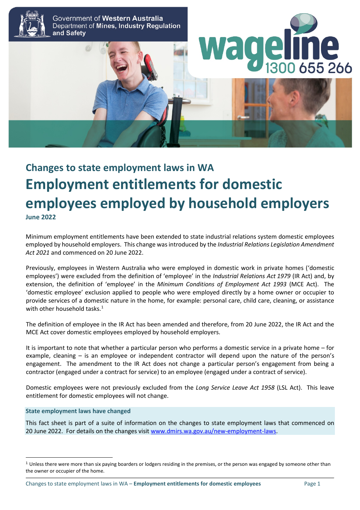

# **Changes to state employment laws in WA Employment entitlements for domestic employees employed by household employers June 2022**

Minimum employment entitlements have been extended to state industrial relations system domestic employees employed by household employers. This change wasintroduced by the *Industrial Relations Legislation Amendment Act 2021* and commenced on 20 June 2022.

Previously, employees in Western Australia who were employed in domestic work in private homes ('domestic employees') were excluded from the definition of 'employee' in the *Industrial Relations Act 1979* (IR Act) and, by extension, the definition of 'employee' in the *Minimum Conditions of Employment Act 1993* (MCE Act). The 'domestic employee' exclusion applied to people who were employed directly by a home owner or occupier to provide services of a domestic nature in the home, for example: personal care, child care, cleaning, or assistance with other household tasks.<sup>[1](#page-0-0)</sup>

The definition of employee in the IR Act has been amended and therefore, from 20 June 2022, the IR Act and the MCE Act cover domestic employees employed by household employers.

It is important to note that whether a particular person who performs a domestic service in a private home – for example, cleaning – is an employee or independent contractor will depend upon the nature of the person's engagement. The amendment to the IR Act does not change a particular person's engagement from being a contractor (engaged under a contract for service) to an employee (engaged under a contract of service).

Domestic employees were not previously excluded from the *Long Service Leave Act 1958* (LSL Act). This leave entitlement for domestic employees will not change.

#### **State employment laws have changed**

This fact sheet is part of a suite of information on the changes to state employment laws that commenced on 20 June 2022. For details on the changes visi[t www.dmirs.wa.gov.au/new-employment-laws.](http://www.dmirs.wa.gov.au/new-employment-laws)

<span id="page-0-0"></span> $<sup>1</sup>$  Unless there were more than six paying boarders or lodgers residing in the premises, or the person was engaged by someone other than</sup> the owner or occupier of the home.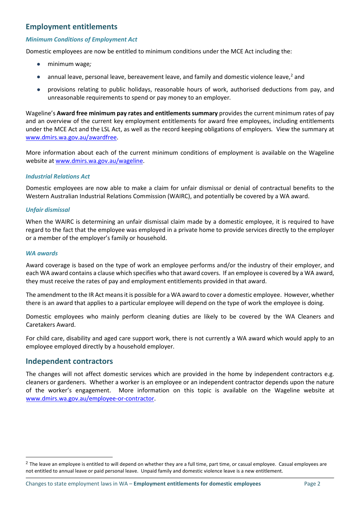# **Employment entitlements**

# *Minimum Conditions of Employment Act*

Domestic employees are now be entitled to minimum conditions under the MCE Act including the:

- minimum wage*;*
- $\bullet$  annual leave, personal leave, bereavement leave, and family and domestic violence leave,<sup>[2](#page-1-0)</sup> and
- provisions relating to public holidays, reasonable hours of work, authorised deductions from pay, and unreasonable requirements to spend or pay money to an employer*.*

Wageline's **Award free minimum pay rates and entitlements summary** provides the current minimum rates of pay and an overview of the current key employment entitlements for award free employees, including entitlements under the MCE Act and the LSL Act, as well as the record keeping obligations of employers*.* View the summary at [www.dmirs.wa.gov.au/awardfree.](http://www.dmirs.wa.gov.au/awardfree)

More information about each of the current minimum conditions of employment is available on the Wageline website at [www.dmirs.wa.gov.au/wageline.](http://www.dmirs.wa.gov.au/wageline)

# *Industrial Relations Act*

Domestic employees are now able to make a claim for unfair dismissal or denial of contractual benefits to the Western Australian Industrial Relations Commission (WAIRC), and potentially be covered by a WA award.

## *Unfair dismissal*

When the WAIRC is determining an unfair dismissal claim made by a domestic employee, it is required to have regard to the fact that the employee was employed in a private home to provide services directly to the employer or a member of the employer's family or household.

### *WA awards*

Award coverage is based on the type of work an employee performs and/or the industry of their employer, and each WA award contains a clause which specifies who that award covers. If an employee is covered by a WA award, they must receive the rates of pay and employment entitlements provided in that award.

The amendment to the IR Act meansit is possible for a WA award to cover a domestic employee. However, whether there is an award that applies to a particular employee will depend on the type of work the employee is doing.

Domestic employees who mainly perform cleaning duties are likely to be covered by the WA Cleaners and Caretakers Award.

For child care, disability and aged care support work, there is not currently a WA award which would apply to an employee employed directly by a household employer.

## **Independent contractors**

The changes will not affect domestic services which are provided in the home by independent contractors e.g. cleaners or gardeners. Whether a worker is an employee or an independent contractor depends upon the nature of the worker's engagement. More information on this topic is available on the Wageline website at [www.dmirs.wa.gov.au/employee-or-contractor.](http://www.dmirs.wa.gov.au/employee-or-contractor)

<span id="page-1-0"></span> $2$  The leave an employee is entitled to will depend on whether they are a full time, part time, or casual employee. Casual employees are not entitled to annual leave or paid personal leave. Unpaid family and domestic violence leave is a new entitlement.